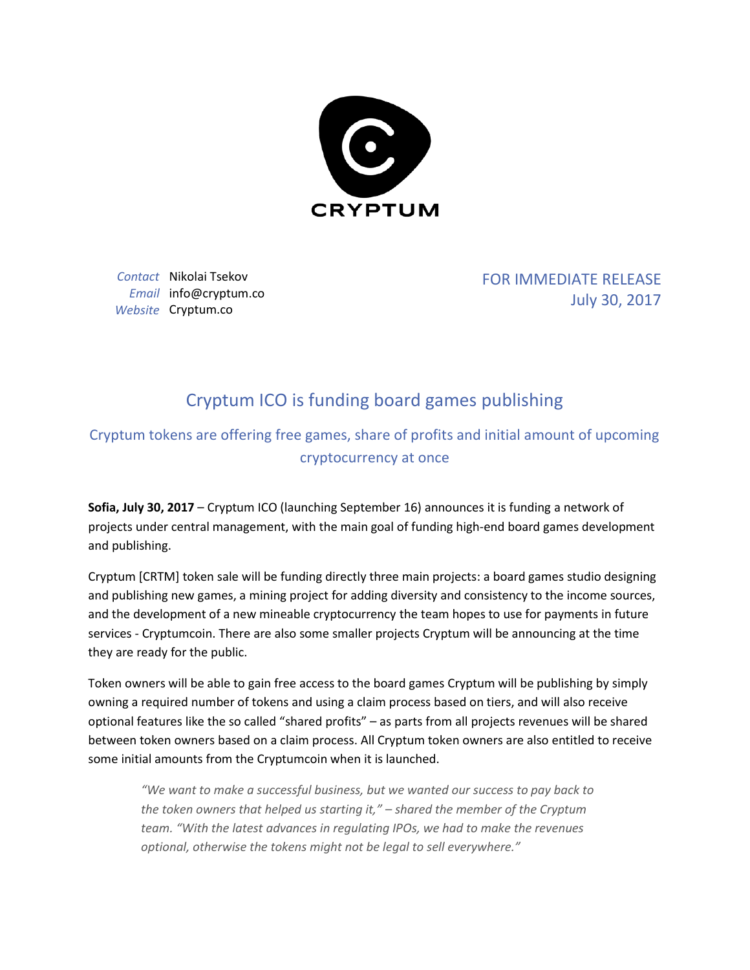

*Contact* Nikolai Tsekov *Email* info@cryptum.co *Website* Cryptum.co

FOR IMMEDIATE RELEASE July 30, 2017

## Cryptum ICO is funding board games publishing

## Cryptum tokens are offering free games, share of profits and initial amount of upcoming cryptocurrency at once

**Sofia, July 30, 2017** – Cryptum ICO (launching September 16) announces it is funding a network of projects under central management, with the main goal of funding high-end board games development and publishing.

Cryptum [CRTM] token sale will be funding directly three main projects: a board games studio designing and publishing new games, a mining project for adding diversity and consistency to the income sources, and the development of a new mineable cryptocurrency the team hopes to use for payments in future services - Cryptumcoin. There are also some smaller projects Cryptum will be announcing at the time they are ready for the public.

Token owners will be able to gain free access to the board games Cryptum will be publishing by simply owning a required number of tokens and using a claim process based on tiers, and will also receive optional features like the so called "shared profits" – as parts from all projects revenues will be shared between token owners based on a claim process. All Cryptum token owners are also entitled to receive some initial amounts from the Cryptumcoin when it is launched.

*"We want to make a successful business, but we wanted our success to pay back to the token owners that helped us starting it," – shared the member of the Cryptum team. "With the latest advances in regulating IPOs, we had to make the revenues optional, otherwise the tokens might not be legal to sell everywhere."*